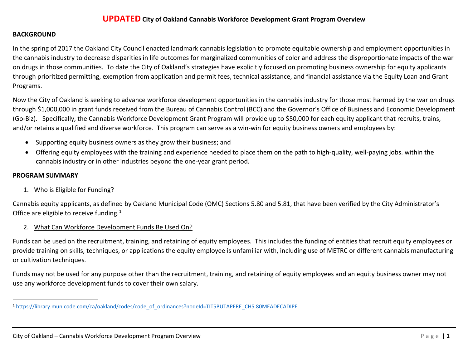### <span id="page-0-0"></span>**UPDATED City of Oakland Cannabis Workforce Development Grant Program Overview**

#### **BACKGROUND**

In the spring of 2017 the Oakland City Council enacted landmark cannabis legislation to promote equitable ownership and employment opportunities in the cannabis industry to decrease disparities in life outcomes for marginalized communities of color and address the disproportionate impacts of the war on drugs in those communities. To date the City of Oakland's strategies have explicitly focused on promoting business ownership for equity applicants through prioritized permitting, exemption from application and permit fees, technical assistance, and financial assistance via the Equity Loan and Grant Programs.

Now the City of Oakland is seeking to advance workforce development opportunities in the cannabis industry for those most harmed by the war on drugs through \$1,000,000 in grant funds received from the Bureau of Cannabis Control (BCC) and the Governor's Office of Business and Economic Development (Go-Biz). Specifically, the Cannabis Workforce Development Grant Program will provide up to \$50,000 for each equity applicant that recruits, trains, and/or retains a qualified and diverse workforce. This program can serve as a win-win for equity business owners and employees by:

- Supporting equity business owners as they grow their business; and
- Offering equity employees with the training and experience needed to place them on the path to high-quality, well-paying jobs. within the cannabis industry or in other industries beyond the one-year grant period.

#### **PROGRAM SUMMARY**

#### 1. Who is Eligible for Funding?

Cannabis equity applicants, as defined by Oakland Municipal Code (OMC) Sections 5.80 and 5.81, that have been verified by the City Administrator's Office are eligible to receive funding.<sup>[1](#page-0-0)</sup>

2. What Can Workforce Development Funds Be Used On?

Funds can be used on the recruitment, training, and retaining of equity employees. This includes the funding of entities that recruit equity employees or provide training on skills, techniques, or applications the equity employee is unfamiliar with, including use of METRC or different cannabis manufacturing or cultivation techniques.

Funds may not be used for any purpose other than the recruitment, training, and retaining of equity employees and an equity business owner may not use any workforce development funds to cover their own salary.

 <sup>1</sup> [https://library.municode.com/ca/oakland/codes/code\\_of\\_ordinances?nodeId=TIT5BUTAPERE\\_CH5.80MEADECADIPE](https://library.municode.com/ca/oakland/codes/code_of_ordinances?nodeId=TIT5BUTAPERE_CH5.80MEADECADIPE)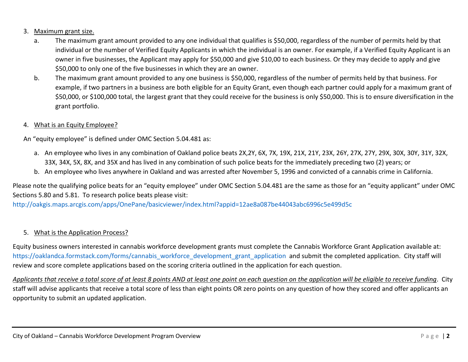# 3. Maximum grant size.

- a. The maximum grant amount provided to any one individual that qualifies is \$50,000, regardless of the number of permits held by that individual or the number of Verified Equity Applicants in which the individual is an owner. For example, if a Verified Equity Applicant is an owner in five businesses, the Applicant may apply for \$50,000 and give \$10,00 to each business. Or they may decide to apply and give \$50,000 to only one of the five businesses in which they are an owner.
- b. The maximum grant amount provided to any one business is \$50,000, regardless of the number of permits held by that business. For example, if two partners in a business are both eligible for an Equity Grant, even though each partner could apply for a maximum grant of \$50,000, or \$100,000 total, the largest grant that they could receive for the business is only \$50,000. This is to ensure diversification in the grant portfolio.

### 4. What is an Equity Employee?

An "equity employee" is defined under OMC Section 5.04.481 as:

- a. An employee who lives in any combination of Oakland police beats 2X,2Y, 6X, 7X, 19X, 21X, 21Y, 23X, 26Y, 27X, 27Y, 29X, 30X, 30Y, 31Y, 32X, 33X, 34X, 5X, 8X, and 35X and has lived in any combination of such police beats for the immediately preceding two (2) years; or
- b. An employee who lives anywhere in Oakland and was arrested after November 5, 1996 and convicted of a cannabis crime in California.

Please note the qualifying police beats for an "equity employee" under OMC Section 5.04.481 are the same as those for an "equity applicant" under OMC Sections 5.80 and 5.81. To research police beats please visit:

<http://oakgis.maps.arcgis.com/apps/OnePane/basicviewer/index.html?appid=12ae8a087be44043abc6996c5e499d5c>

# 5. What is the Application Process?

Equity business owners interested in cannabis workforce development grants must complete the Cannabis Workforce Grant Application available at: [https://oaklandca.formstack.com/forms/cannabis\\_workforce\\_development\\_grant\\_application](https://oaklandca.formstack.com/forms/cannabis_workforce_development_grant_application) and submit the completed application. City staff will review and score complete applications based on the scoring criteria outlined in the application for each question.

*Applicants that receive a total score of at least 8 points AND at least one point on each question on the application will be eligible to receive funding*. City staff will advise applicants that receive a total score of less than eight points OR zero points on any question of how they scored and offer applicants an opportunity to submit an updated application.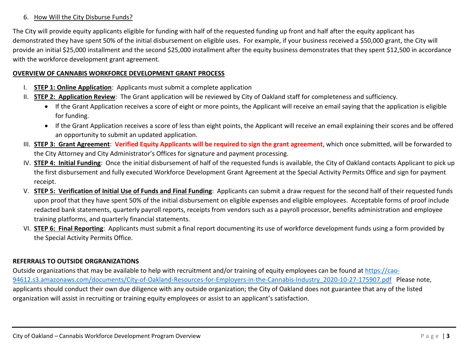#### 6. How Will the City Disburse Funds?

The City will provide equity applicants eligible for funding with half of the requested funding up front and half after the equity applicant has demonstrated they have spent 50% of the initial disbursement on eligible uses. For example, if your business received a \$50,000 grant, the City will provide an initial \$25,000 installment and the second \$25,000 installment after the equity business demonstrates that they spent \$12,500 in accordance with the workforce development grant agreement.

#### **OVERVIEW OF CANNABIS WORKFORCE DEVELOPMENT GRANT PROCESS**

- I. **STEP 1: Online Application**: Applicants must submit a complete application
- II. **STEP 2: Application Review**: The Grant application will be reviewed by City of Oakland staff for completeness and sufficiency.
	- If the Grant Application receives a score of eight or more points, the Applicant will receive an email saying that the application is eligible for funding.
	- If the Grant Application receives a score of less than eight points, the Applicant will receive an email explaining their scores and be offered an opportunity to submit an updated application.
- III. **STEP 3: Grant Agreement**: **Verified Equity Applicants will be required to sign the grant agreement**, which once submitted, will be forwarded to the City Attorney and City Administrator's Offices for signature and payment processing.
- IV. **STEP 4: Initial Funding**: Once the initial disbursement of half of the requested funds is available, the City of Oakland contacts Applicant to pick up the first disbursement and fully executed Workforce Development Grant Agreement at the Special Activity Permits Office and sign for payment receipt.
- V. **STEP 5: Verification of Initial Use of Funds and Final Funding**: Applicants can submit a draw request for the second half of their requested funds upon proof that they have spent 50% of the initial disbursement on eligible expenses and eligible employees. Acceptable forms of proof include redacted bank statements, quarterly payroll reports, receipts from vendors such as a payroll processor, benefits administration and employee training platforms, and quarterly financial statements.
- VI. **STEP 6: Final Reporting**: Applicants must submit a final report documenting its use of workforce development funds using a form provided by the Special Activity Permits Office.

# **REFERRALS TO OUTSIDE ORGRANIZATIONS**

Outside organizations that may be available to help with recruitment and/or training of equity employees can be found at [https://cao-](https://cao-94612.s3.amazonaws.com/documents/City-of-Oakland-Resources-for-Employers-in-the-Cannabis-Industry_2020-10-27-175907.pdf)[94612.s3.amazonaws.com/documents/City-of-Oakland-Resources-for-Employers-in-the-Cannabis-Industry\\_2020-10-27-175907.pdf](https://cao-94612.s3.amazonaws.com/documents/City-of-Oakland-Resources-for-Employers-in-the-Cannabis-Industry_2020-10-27-175907.pdf) Please note, applicants should conduct their own due diligence with any outside organization; the City of Oakland does not guarantee that any of the listed organization will assist in recruiting or training equity employees or assist to an applicant's satisfaction.